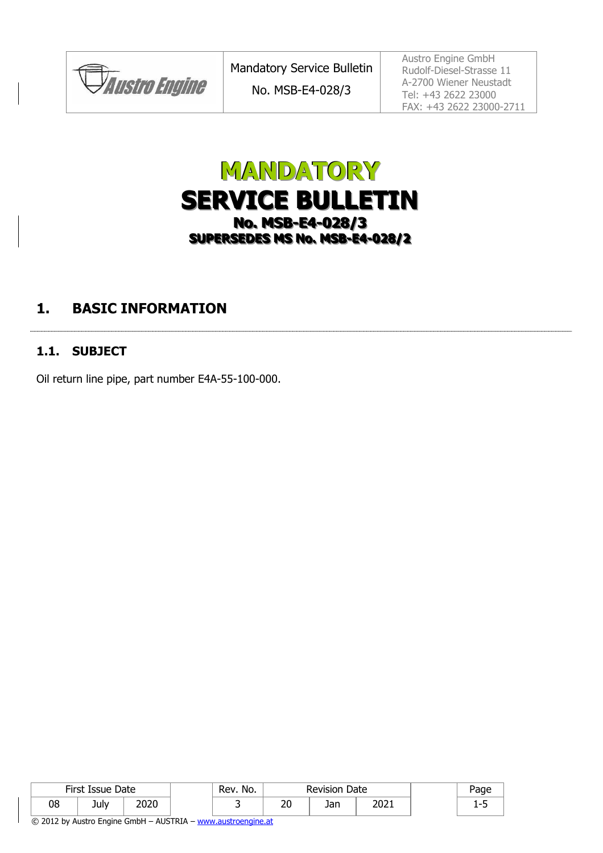**JAustro Engine** 

Austro Engine GmbH Rudolf-Diesel-Strasse 11 A-2700 Wiener Neustadt Tel: +43 2622 23000 FAX: +43 2622 23000-2711

# **MANDATORY SERVICE BULLETIN No. MSB-E4-028/3 SUPERSEDES MS No. MSB-E4-028/2**

## **1. BASIC INFORMATION**

#### **1.1. SUBJECT**

Oil return line pipe, part number E4A-55-100-000.

| First Issue Date |      |      | No.<br>Rev. |          | <b>Revision Date</b> |      |  |
|------------------|------|------|-------------|----------|----------------------|------|--|
| 08               | July | 2020 |             | חר<br>∠∪ | Jan                  | 2021 |  |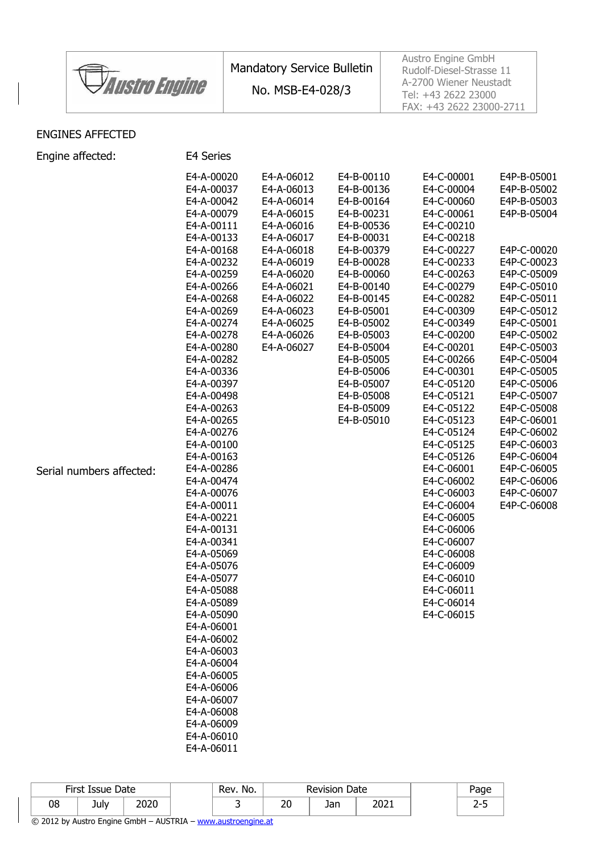|                      | <b>Mandatory Service Bulletin</b> | Austro Engine GmbH<br>Rudolf-Diesel-Strasse 11                            |
|----------------------|-----------------------------------|---------------------------------------------------------------------------|
| <b>Austro Engine</b> | No. MSB-E4-028/3                  | A-2700 Wiener Neustadt<br>Tel: +43 2622 23000<br>FAX: +43 2622 23000-2711 |

#### ENGINES AFFECTED

Engine affected: E4 Series

|                          | E4-A-00020               | E4-A-06012 | E4-B-00110 | E4-C-00001 | E4P-B-05001 |
|--------------------------|--------------------------|------------|------------|------------|-------------|
|                          | E4-A-00037               | E4-A-06013 | E4-B-00136 | E4-C-00004 | E4P-B-05002 |
|                          | E4-A-00042               | E4-A-06014 | E4-B-00164 | E4-C-00060 | E4P-B-05003 |
|                          | E4-A-00079               | E4-A-06015 | E4-B-00231 | E4-C-00061 | E4P-B-05004 |
|                          | E4-A-00111               | E4-A-06016 | E4-B-00536 | E4-C-00210 |             |
|                          | E4-A-00133               | E4-A-06017 | E4-B-00031 | E4-C-00218 |             |
|                          | E4-A-00168               | E4-A-06018 | E4-B-00379 | E4-C-00227 | E4P-C-00020 |
|                          | E4-A-00232               | E4-A-06019 | E4-B-00028 | E4-C-00233 | E4P-C-00023 |
|                          | E4-A-00259               | E4-A-06020 |            |            |             |
|                          |                          |            | E4-B-00060 | E4-C-00263 | E4P-C-05009 |
|                          | E4-A-00266               | E4-A-06021 | E4-B-00140 | E4-C-00279 | E4P-C-05010 |
|                          | E4-A-00268               | E4-A-06022 | E4-B-00145 | E4-C-00282 | E4P-C-05011 |
|                          | E4-A-00269               | E4-A-06023 | E4-B-05001 | E4-C-00309 | E4P-C-05012 |
|                          | E4-A-00274               | E4-A-06025 | E4-B-05002 | E4-C-00349 | E4P-C-05001 |
|                          | E4-A-00278               | E4-A-06026 | E4-B-05003 | E4-C-00200 | E4P-C-05002 |
|                          | E4-A-00280               | E4-A-06027 | E4-B-05004 | E4-C-00201 | E4P-C-05003 |
|                          | E4-A-00282               |            | E4-B-05005 | E4-C-00266 | E4P-C-05004 |
|                          | E4-A-00336               |            | E4-B-05006 | E4-C-00301 | E4P-C-05005 |
|                          | E4-A-00397               |            | E4-B-05007 | E4-C-05120 | E4P-C-05006 |
|                          | E4-A-00498               |            | E4-B-05008 | E4-C-05121 | E4P-C-05007 |
|                          | E4-A-00263               |            | E4-B-05009 | E4-C-05122 | E4P-C-05008 |
|                          | E4-A-00265               |            | E4-B-05010 | E4-C-05123 | E4P-C-06001 |
|                          | E4-A-00276               |            |            | E4-C-05124 | E4P-C-06002 |
|                          | E4-A-00100               |            |            | E4-C-05125 | E4P-C-06003 |
|                          | E4-A-00163               |            |            | E4-C-05126 | E4P-C-06004 |
| Serial numbers affected: | E4-A-00286               |            |            | E4-C-06001 | E4P-C-06005 |
|                          | E4-A-00474               |            |            | E4-C-06002 | E4P-C-06006 |
|                          | E4-A-00076               |            |            | E4-C-06003 | E4P-C-06007 |
|                          | E4-A-00011               |            |            | E4-C-06004 | E4P-C-06008 |
|                          | E4-A-00221               |            |            | E4-C-06005 |             |
|                          | E4-A-00131               |            |            | E4-C-06006 |             |
|                          | E4-A-00341               |            |            | E4-C-06007 |             |
|                          | E4-A-05069               |            |            | E4-C-06008 |             |
|                          | E4-A-05076               |            |            | E4-C-06009 |             |
|                          | E4-A-05077               |            |            | E4-C-06010 |             |
|                          | E4-A-05088               |            |            | E4-C-06011 |             |
|                          | E4-A-05089               |            |            | E4-C-06014 |             |
|                          | E4-A-05090               |            |            | E4-C-06015 |             |
|                          | E4-A-06001               |            |            |            |             |
|                          |                          |            |            |            |             |
|                          | E4-A-06002<br>E4-A-06003 |            |            |            |             |
|                          |                          |            |            |            |             |
|                          | E4-A-06004               |            |            |            |             |
|                          | E4-A-06005               |            |            |            |             |
|                          | E4-A-06006               |            |            |            |             |
|                          | E4-A-06007               |            |            |            |             |
|                          | E4-A-06008               |            |            |            |             |
|                          | E4-A-06009               |            |            |            |             |
|                          | E4-A-06010               |            |            |            |             |
|                          | E4-A-06011               |            |            |            |             |
|                          |                          |            |            |            |             |

|    | First Issue | Date         | No.<br>Rev. | Date<br>Revision |            |      | Page |                 |  |
|----|-------------|--------------|-------------|------------------|------------|------|------|-----------------|--|
| 08 | July        | חרחר<br>ZUZU |             | חר<br>Zu         | Ion<br>JaH | 2021 |      | . -<br><u>.</u> |  |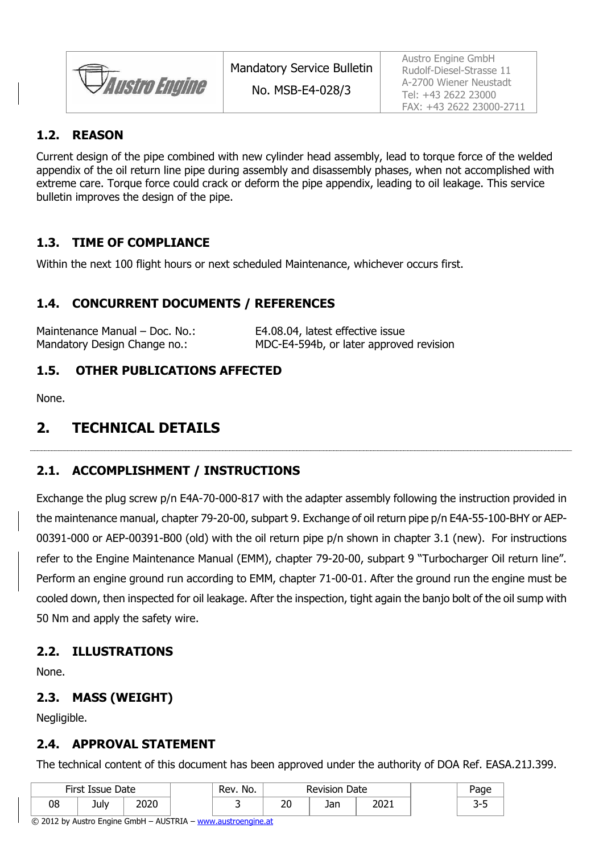*Austro Engine* 

No. MSB-E4-028/3

Austro Engine GmbH Rudolf-Diesel-Strasse 11 A-2700 Wiener Neustadt Tel: +43 2622 23000 FAX: +43 2622 23000-2711

#### **1.2. REASON**

Current design of the pipe combined with new cylinder head assembly, lead to torque force of the welded appendix of the oil return line pipe during assembly and disassembly phases, when not accomplished with extreme care. Torque force could crack or deform the pipe appendix, leading to oil leakage. This service bulletin improves the design of the pipe.

#### **1.3. TIME OF COMPLIANCE**

Within the next 100 flight hours or next scheduled Maintenance, whichever occurs first.

#### **1.4. CONCURRENT DOCUMENTS / REFERENCES**

| Maintenance Manual - Doc. No.: | E4.08.04, latest effective issue        |
|--------------------------------|-----------------------------------------|
| Mandatory Design Change no.:   | MDC-E4-594b, or later approved revision |

#### **1.5. OTHER PUBLICATIONS AFFECTED**

None.

#### **2. TECHNICAL DETAILS**

#### **2.1. ACCOMPLISHMENT / INSTRUCTIONS**

Exchange the plug screw p/n E4A-70-000-817 with the adapter assembly following the instruction provided in the maintenance manual, chapter 79-20-00, subpart 9. Exchange of oil return pipe p/n E4A-55-100-BHY or AEP-00391-000 or AEP-00391-B00 (old) with the oil return pipe p/n shown in chapter 3.1 (new). For instructions refer to the Engine Maintenance Manual (EMM), chapter 79-20-00, subpart 9 "Turbocharger Oil return line". Perform an engine ground run according to EMM, chapter 71-00-01. After the ground run the engine must be cooled down, then inspected for oil leakage. After the inspection, tight again the banjo bolt of the oil sump with 50 Nm and apply the safety wire.

#### **2.2. ILLUSTRATIONS**

None.

#### **2.3. MASS (WEIGHT)**

Negligible.

#### **2.4. APPROVAL STATEMENT**

The technical content of this document has been approved under the authority of DOA Ref. EASA.21J.399.

| First Issue Date |      |      | No.<br>Rev. | Revision Date |     |      |  |
|------------------|------|------|-------------|---------------|-----|------|--|
| 08               | July | 2020 |             | חר<br>Zu      | Jan | 2021 |  |

© 2012 by Austro Engine GmbH – AUSTRIA – www.austroengine.at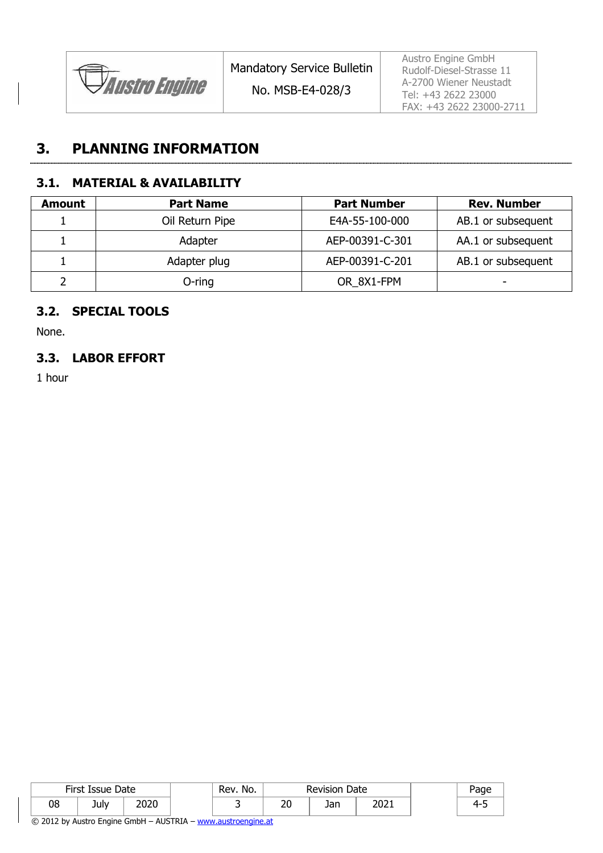

No. MSB-E4-028/3

Austro Engine GmbH Rudolf-Diesel-Strasse 11 A-2700 Wiener Neustadt Tel: +43 2622 23000 FAX: +43 2622 23000-2711

### **3. PLANNING INFORMATION**

#### **3.1. MATERIAL & AVAILABILITY**

| <b>Amount</b> | <b>Part Name</b> | <b>Part Number</b> | <b>Rev. Number</b> |
|---------------|------------------|--------------------|--------------------|
|               | Oil Return Pipe  | E4A-55-100-000     | AB.1 or subsequent |
|               | Adapter          | AEP-00391-C-301    | AA.1 or subsequent |
|               | Adapter plug     | AEP-00391-C-201    | AB.1 or subsequent |
|               | $O$ -ring        | OR 8X1-FPM         | -                  |

#### **3.2. SPECIAL TOOLS**

None.

#### **3.3. LABOR EFFORT**

1 hour

| First Issue Date |      |      | Rev. No. |           | <b>Revision Date</b> |      |  | Page |
|------------------|------|------|----------|-----------|----------------------|------|--|------|
| 08               | July | 2020 |          | n c<br>∠∪ | Jan                  | 2021 |  | ≖    |

© 2012 by Austro Engine GmbH – AUSTRIA – www.austroengine.at